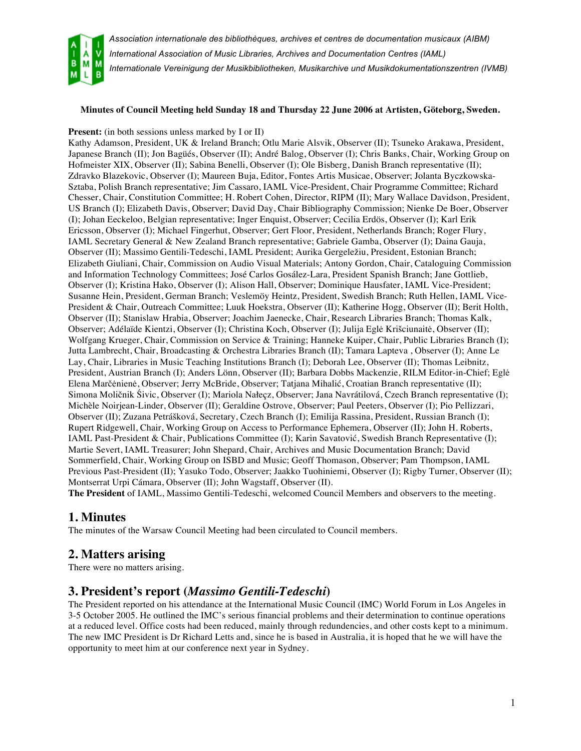

*International Association of Music Libraries, Archives and Documentation Centres (IAML)*

*Internationale Vereinigung der Musikbibliotheken, Musikarchive und Musikdokumentationszentren (IVMB)*

#### **Minutes of Council Meeting held Sunday 18 and Thursday 22 June 2006 at Artisten, Göteborg, Sweden.**

#### **Present:** (in both sessions unless marked by I or II)

Kathy Adamson, President, UK & Ireland Branch; Otlu Marie Alsvik, Observer (II); Tsuneko Arakawa, President, Japanese Branch (II); Jon Bagüés, Observer (II); André Balog, Observer (I); Chris Banks, Chair, Working Group on Hofmeister XIX, Observer (II); Sabina Benelli, Observer (I); Ole Bisberg, Danish Branch representative (II); Zdravko Blazekovic, Observer (I); Maureen Buja, Editor, Fontes Artis Musicae, Observer; Jolanta Byczkowska-Sztaba, Polish Branch representative; Jim Cassaro, IAML Vice-President, Chair Programme Committee; Richard Chesser, Chair, Constitution Committee; H. Robert Cohen, Director, RIPM (II); Mary Wallace Davidson, President, US Branch (I); Elizabeth Davis, Observer; David Day, Chair Bibliography Commission; Nienke De Boer, Observer (I); Johan Eeckeloo, Belgian representative; Inger Enquist, Observer; Cecilia Erdös, Observer (I); Karl Erik Ericsson, Observer (I); Michael Fingerhut, Observer; Gert Floor, President, Netherlands Branch; Roger Flury, IAML Secretary General & New Zealand Branch representative; Gabriele Gamba, Observer (I); Daina Gauja, Observer (II); Massimo Gentili-Tedeschi, IAML President; Aurika Gergeležiu, President, Estonian Branch; Elizabeth Giuliani, Chair, Commission on Audio Visual Materials; Antony Gordon, Chair, Cataloguing Commission and Information Technology Committees; José Carlos Gosález-Lara, President Spanish Branch; Jane Gottlieb, Observer (I); Kristina Hako, Observer (I); Alison Hall, Observer; Dominique Hausfater, IAML Vice-President; Susanne Hein, President, German Branch; Veslemöy Heintz, President, Swedish Branch; Ruth Hellen, IAML Vice-President & Chair, Outreach Committee; Luuk Hoekstra, Observer (II); Katherine Hogg, Observer (II); Berit Holth, Observer (II); Stanislaw Hrabia, Observer; Joachim Jaenecke, Chair, Research Libraries Branch; Thomas Kalk, Observer; Adélaïde Kientzi, Observer (I); Christina Koch, Observer (I); Julija Eglė Krišciunaitė, Observer (II); Wolfgang Krueger, Chair, Commission on Service & Training; Hanneke Kuiper, Chair, Public Libraries Branch (I); Jutta Lambrecht, Chair, Broadcasting & Orchestra Libraries Branch (II); Tamara Lapteva , Observer (I); Anne Le Lay, Chair, Libraries in Music Teaching Institutions Branch (I); Deborah Lee, Observer (II); Thomas Leibnitz, President, Austrian Branch (I); Anders Lönn, Observer (II); Barbara Dobbs Mackenzie, RILM Editor-in-Chief; Eglė Elena Marčėnienė, Observer; Jerry McBride, Observer; Tatjana Mihalić, Croatian Branch representative (II); Simona Moličnik Śivic, Observer (I); Mariola Nałeçz, Observer; Jana Navrátilová, Czech Branch representative (I); Michèle Noirjean-Linder, Observer (II); Geraldine Ostrove, Observer; Paul Peeters, Observer (I); Pio Pellizzari, Observer (II); Zuzana Petrášková, Secretary, Czech Branch (I); Emilija Rassina, President, Russian Branch (I); Rupert Ridgewell, Chair, Working Group on Access to Performance Ephemera, Observer (II); John H. Roberts, IAML Past-President & Chair, Publications Committee (I); Karin Savatović, Swedish Branch Representative (I); Martie Severt, IAML Treasurer; John Shepard, Chair, Archives and Music Documentation Branch; David Sommerfield, Chair, Working Group on ISBD and Music; Geoff Thomason, Observer; Pam Thompson, IAML Previous Past-President (II); Yasuko Todo, Observer; Jaakko Tuohiniemi, Observer (I); Rigby Turner, Observer (II); Montserrat Urpi Cámara, Observer (II); John Wagstaff, Observer (II).

**The President** of IAML, Massimo Gentili-Tedeschi, welcomed Council Members and observers to the meeting.

### **1. Minutes**

The minutes of the Warsaw Council Meeting had been circulated to Council members.

### **2. Matters arising**

There were no matters arising.

### **3. President's report (***Massimo Gentili-Tedeschi***)**

The President reported on his attendance at the International Music Council (IMC) World Forum in Los Angeles in 3-5 October 2005. He outlined the IMC's serious financial problems and their determination to continue operations at a reduced level. Office costs had been reduced, mainly through redundencies, and other costs kept to a minimum. The new IMC President is Dr Richard Letts and, since he is based in Australia, it is hoped that he we will have the opportunity to meet him at our conference next year in Sydney.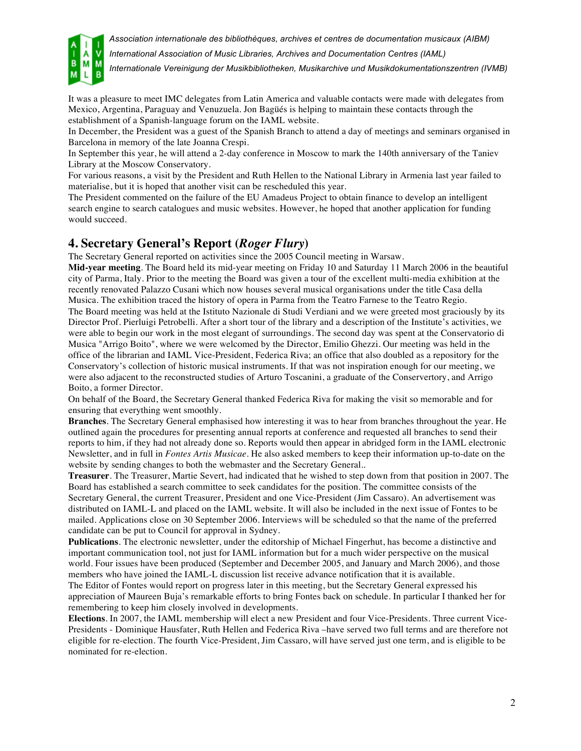

*International Association of Music Libraries, Archives and Documentation Centres (IAML)*

*Internationale Vereinigung der Musikbibliotheken, Musikarchive und Musikdokumentationszentren (IVMB)*

It was a pleasure to meet IMC delegates from Latin America and valuable contacts were made with delegates from Mexico, Argentina, Paraguay and Venuzuela. Jon Bagüés is helping to maintain these contacts through the establishment of a Spanish-language forum on the IAML website.

In December, the President was a guest of the Spanish Branch to attend a day of meetings and seminars organised in Barcelona in memory of the late Joanna Crespi.

In September this year, he will attend a 2-day conference in Moscow to mark the 140th anniversary of the Taniev Library at the Moscow Conservatory.

For various reasons, a visit by the President and Ruth Hellen to the National Library in Armenia last year failed to materialise, but it is hoped that another visit can be rescheduled this year.

The President commented on the failure of the EU Amadeus Project to obtain finance to develop an intelligent search engine to search catalogues and music websites. However, he hoped that another application for funding would succeed.

### **4. Secretary General's Report (***Roger Flury***)**

The Secretary General reported on activities since the 2005 Council meeting in Warsaw.

**Mid-year meeting**. The Board held its mid-year meeting on Friday 10 and Saturday 11 March 2006 in the beautiful city of Parma, Italy. Prior to the meeting the Board was given a tour of the excellent multi-media exhibition at the recently renovated Palazzo Cusani which now houses several musical organisations under the title Casa della Musica. The exhibition traced the history of opera in Parma from the Teatro Farnese to the Teatro Regio. The Board meeting was held at the Istituto Nazionale di Studi Verdiani and we were greeted most graciously by its Director Prof. Pierluigi Petrobelli. After a short tour of the library and a description of the Institute's activities, we were able to begin our work in the most elegant of surroundings. The second day was spent at the Conservatorio di Musica "Arrigo Boito", where we were welcomed by the Director, Emilio Ghezzi. Our meeting was held in the office of the librarian and IAML Vice-President, Federica Riva; an office that also doubled as a repository for the Conservatory's collection of historic musical instruments. If that was not inspiration enough for our meeting, we were also adjacent to the reconstructed studies of Arturo Toscanini, a graduate of the Conservertory, and Arrigo Boito, a former Director.

On behalf of the Board, the Secretary General thanked Federica Riva for making the visit so memorable and for ensuring that everything went smoothly.

**Branches**. The Secretary General emphasised how interesting it was to hear from branches throughout the year. He outlined again the procedures for presenting annual reports at conference and requested all branches to send their reports to him, if they had not already done so. Reports would then appear in abridged form in the IAML electronic Newsletter, and in full in *Fontes Artis Musicae*. He also asked members to keep their information up-to-date on the website by sending changes to both the webmaster and the Secretary General..

**Treasurer**. The Treasurer, Martie Severt, had indicated that he wished to step down from that position in 2007. The Board has established a search committee to seek candidates for the position. The committee consists of the Secretary General, the current Treasurer, President and one Vice-President (Jim Cassaro). An advertisement was distributed on IAML-L and placed on the IAML website. It will also be included in the next issue of Fontes to be mailed. Applications close on 30 September 2006. Interviews will be scheduled so that the name of the preferred candidate can be put to Council for approval in Sydney.

**Publications**. The electronic newsletter, under the editorship of Michael Fingerhut, has become a distinctive and important communication tool, not just for IAML information but for a much wider perspective on the musical world. Four issues have been produced (September and December 2005, and January and March 2006), and those members who have joined the IAML-L discussion list receive advance notification that it is available.

The Editor of Fontes would report on progress later in this meeting, but the Secretary General expressed his appreciation of Maureen Buja's remarkable efforts to bring Fontes back on schedule. In particular I thanked her for remembering to keep him closely involved in developments.

**Elections**. In 2007, the IAML membership will elect a new President and four Vice-Presidents. Three current Vice-Presidents - Dominique Hausfater, Ruth Hellen and Federica Riva –have served two full terms and are therefore not eligible for re-election. The fourth Vice-President, Jim Cassaro, will have served just one term, and is eligible to be nominated for re-election.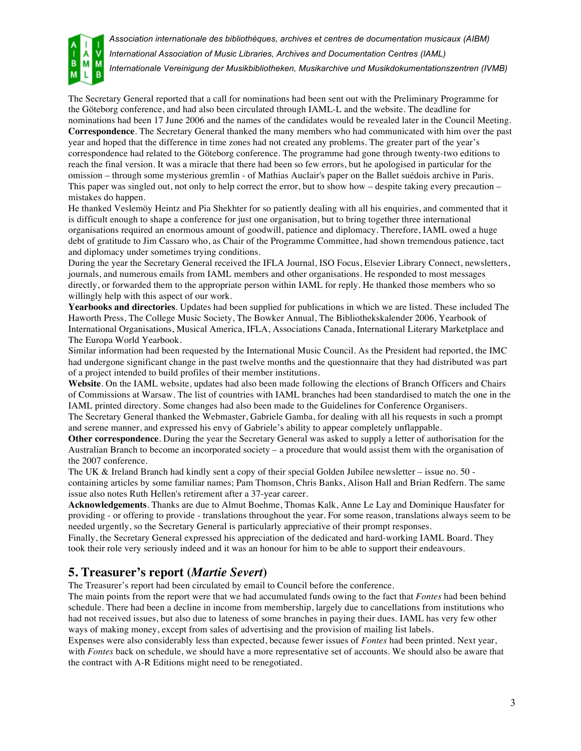

*International Association of Music Libraries, Archives and Documentation Centres (IAML)*

*Internationale Vereinigung der Musikbibliotheken, Musikarchive und Musikdokumentationszentren (IVMB)*

The Secretary General reported that a call for nominations had been sent out with the Preliminary Programme for the Göteborg conference, and had also been circulated through IAML-L and the website. The deadline for nominations had been 17 June 2006 and the names of the candidates would be revealed later in the Council Meeting. **Correspondence**. The Secretary General thanked the many members who had communicated with him over the past year and hoped that the difference in time zones had not created any problems. The greater part of the year's correspondence had related to the Göteborg conference. The programme had gone through twenty-two editions to reach the final version. It was a miracle that there had been so few errors, but he apologised in particular for the omission – through some mysterious gremlin - of Mathias Auclair's paper on the Ballet suédois archive in Paris. This paper was singled out, not only to help correct the error, but to show how – despite taking every precaution – mistakes do happen.

He thanked Veslemöy Heintz and Pia Shekhter for so patiently dealing with all his enquiries, and commented that it is difficult enough to shape a conference for just one organisation, but to bring together three international organisations required an enormous amount of goodwill, patience and diplomacy. Therefore, IAML owed a huge debt of gratitude to Jim Cassaro who, as Chair of the Programme Committee, had shown tremendous patience, tact and diplomacy under sometimes trying conditions.

During the year the Secretary General received the IFLA Journal, ISO Focus, Elsevier Library Connect, newsletters, journals, and numerous emails from IAML members and other organisations. He responded to most messages directly, or forwarded them to the appropriate person within IAML for reply. He thanked those members who so willingly help with this aspect of our work.

**Yearbooks and directories**. Updates had been supplied for publications in which we are listed. These included The Haworth Press, The College Music Society, The Bowker Annual, The Bibliothekskalender 2006, Yearbook of International Organisations, Musical America, IFLA, Associations Canada, International Literary Marketplace and The Europa World Yearbook.

Similar information had been requested by the International Music Council. As the President had reported, the IMC had undergone significant change in the past twelve months and the questionnaire that they had distributed was part of a project intended to build profiles of their member institutions.

**Website**. On the IAML website, updates had also been made following the elections of Branch Officers and Chairs of Commissions at Warsaw. The list of countries with IAML branches had been standardised to match the one in the IAML printed directory. Some changes had also been made to the Guidelines for Conference Organisers.

The Secretary General thanked the Webmaster, Gabriele Gamba, for dealing with all his requests in such a prompt and serene manner, and expressed his envy of Gabriele's ability to appear completely unflappable.

**Other correspondence**. During the year the Secretary General was asked to supply a letter of authorisation for the Australian Branch to become an incorporated society – a procedure that would assist them with the organisation of the 2007 conference.

The UK & Ireland Branch had kindly sent a copy of their special Golden Jubilee newsletter – issue no. 50 containing articles by some familiar names; Pam Thomson, Chris Banks, Alison Hall and Brian Redfern. The same issue also notes Ruth Hellen's retirement after a 37-year career.

**Acknowledgements**. Thanks are due to Almut Boehme, Thomas Kalk, Anne Le Lay and Dominique Hausfater for providing - or offering to provide - translations throughout the year. For some reason, translations always seem to be needed urgently, so the Secretary General is particularly appreciative of their prompt responses.

Finally, the Secretary General expressed his appreciation of the dedicated and hard-working IAML Board. They took their role very seriously indeed and it was an honour for him to be able to support their endeavours.

# **5. Treasurer's report (***Martie Severt***)**

The Treasurer's report had been circulated by email to Council before the conference.

The main points from the report were that we had accumulated funds owing to the fact that *Fontes* had been behind schedule. There had been a decline in income from membership, largely due to cancellations from institutions who had not received issues, but also due to lateness of some branches in paying their dues. IAML has very few other ways of making money, except from sales of advertising and the provision of mailing list labels.

Expenses were also considerably less than expected, because fewer issues of *Fontes* had been printed. Next year, with *Fontes* back on schedule, we should have a more representative set of accounts. We should also be aware that the contract with A-R Editions might need to be renegotiated.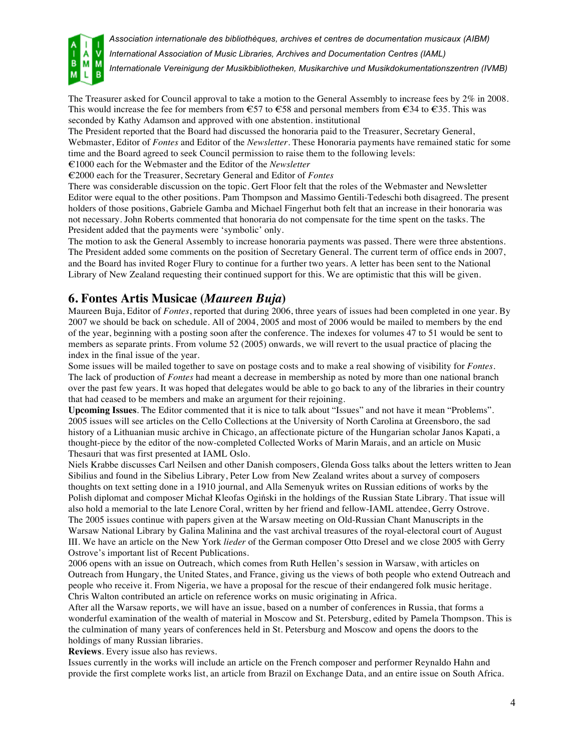



*International Association of Music Libraries, Archives and Documentation Centres (IAML)*

*Internationale Vereinigung der Musikbibliotheken, Musikarchive und Musikdokumentationszentren (IVMB)*

The Treasurer asked for Council approval to take a motion to the General Assembly to increase fees by 2% in 2008. This would increase the fee for members from  $\epsilon$ 57 to  $\epsilon$ 58 and personal members from  $\epsilon$ 34 to  $\epsilon$ 35. This was seconded by Kathy Adamson and approved with one abstention. institutional

The President reported that the Board had discussed the honoraria paid to the Treasurer, Secretary General, Webmaster, Editor of *Fontes* and Editor of the *Newsletter*. These Honoraria payments have remained static for some time and the Board agreed to seek Council permission to raise them to the following levels:

€1000 each for the Webmaster and the Editor of the *Newsletter*

€2000 each for the Treasurer, Secretary General and Editor of *Fontes*

There was considerable discussion on the topic. Gert Floor felt that the roles of the Webmaster and Newsletter Editor were equal to the other positions. Pam Thompson and Massimo Gentili-Tedeschi both disagreed. The present holders of those positions, Gabriele Gamba and Michael Fingerhut both felt that an increase in their honoraria was not necessary. John Roberts commented that honoraria do not compensate for the time spent on the tasks. The President added that the payments were 'symbolic' only.

The motion to ask the General Assembly to increase honoraria payments was passed. There were three abstentions. The President added some comments on the position of Secretary General. The current term of office ends in 2007, and the Board has invited Roger Flury to continue for a further two years. A letter has been sent to the National Library of New Zealand requesting their continued support for this. We are optimistic that this will be given.

#### **6. Fontes Artis Musicae (***Maureen Buja***)**

Maureen Buja, Editor of *Fontes*, reported that during 2006, three years of issues had been completed in one year. By 2007 we should be back on schedule. All of 2004, 2005 and most of 2006 would be mailed to members by the end of the year, beginning with a posting soon after the conference. The indexes for volumes 47 to 51 would be sent to members as separate prints. From volume 52 (2005) onwards, we will revert to the usual practice of placing the index in the final issue of the year.

Some issues will be mailed together to save on postage costs and to make a real showing of visibility for *Fontes*. The lack of production of *Fontes* had meant a decrease in membership as noted by more than one national branch over the past few years. It was hoped that delegates would be able to go back to any of the libraries in their country that had ceased to be members and make an argument for their rejoining.

**Upcoming Issues**. The Editor commented that it is nice to talk about "Issues" and not have it mean "Problems". 2005 issues will see articles on the Cello Collections at the University of North Carolina at Greensboro, the sad history of a Lithuanian music archive in Chicago, an affectionate picture of the Hungarian scholar Janos Kapati, a thought-piece by the editor of the now-completed Collected Works of Marin Marais, and an article on Music Thesauri that was first presented at IAML Oslo.

Niels Krabbe discusses Carl Neilsen and other Danish composers, Glenda Goss talks about the letters written to Jean Sibilius and found in the Sibelius Library, Peter Low from New Zealand writes about a survey of composers thoughts on text setting done in a 1910 journal, and Alla Semenyuk writes on Russian editions of works by the Polish diplomat and composer Michał Kleofas Ogiński in the holdings of the Russian State Library. That issue will also hold a memorial to the late Lenore Coral, written by her friend and fellow-IAML attendee, Gerry Ostrove. The 2005 issues continue with papers given at the Warsaw meeting on Old-Russian Chant Manuscripts in the Warsaw National Library by Galina Malinina and the vast archival treasures of the royal-electoral court of August III. We have an article on the New York *lieder* of the German composer Otto Dresel and we close 2005 with Gerry Ostrove's important list of Recent Publications.

2006 opens with an issue on Outreach, which comes from Ruth Hellen's session in Warsaw, with articles on Outreach from Hungary, the United States, and France, giving us the views of both people who extend Outreach and people who receive it. From Nigeria, we have a proposal for the rescue of their endangered folk music heritage. Chris Walton contributed an article on reference works on music originating in Africa.

After all the Warsaw reports, we will have an issue, based on a number of conferences in Russia, that forms a wonderful examination of the wealth of material in Moscow and St. Petersburg, edited by Pamela Thompson. This is the culmination of many years of conferences held in St. Petersburg and Moscow and opens the doors to the holdings of many Russian libraries.

**Reviews**. Every issue also has reviews.

Issues currently in the works will include an article on the French composer and performer Reynaldo Hahn and provide the first complete works list, an article from Brazil on Exchange Data, and an entire issue on South Africa.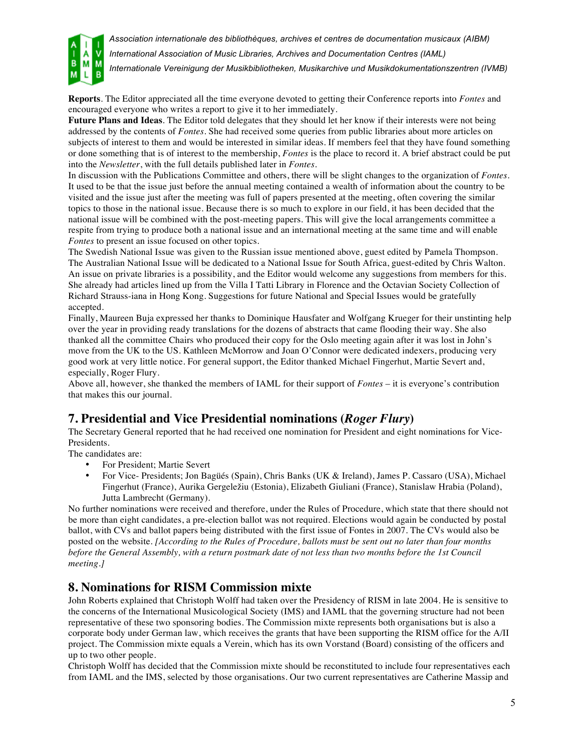



*International Association of Music Libraries, Archives and Documentation Centres (IAML)*

*Internationale Vereinigung der Musikbibliotheken, Musikarchive und Musikdokumentationszentren (IVMB)*

**Reports**. The Editor appreciated all the time everyone devoted to getting their Conference reports into *Fontes* and encouraged everyone who writes a report to give it to her immediately.

**Future Plans and Ideas**. The Editor told delegates that they should let her know if their interests were not being addressed by the contents of *Fontes*. She had received some queries from public libraries about more articles on subjects of interest to them and would be interested in similar ideas. If members feel that they have found something or done something that is of interest to the membership, *Fontes* is the place to record it. A brief abstract could be put into the *Newsletter*, with the full details published later in *Fontes*.

In discussion with the Publications Committee and others, there will be slight changes to the organization of *Fontes*. It used to be that the issue just before the annual meeting contained a wealth of information about the country to be visited and the issue just after the meeting was full of papers presented at the meeting, often covering the similar topics to those in the national issue. Because there is so much to explore in our field, it has been decided that the national issue will be combined with the post-meeting papers. This will give the local arrangements committee a respite from trying to produce both a national issue and an international meeting at the same time and will enable *Fontes* to present an issue focused on other topics.

The Swedish National Issue was given to the Russian issue mentioned above, guest edited by Pamela Thompson. The Australian National Issue will be dedicated to a National Issue for South Africa, guest-edited by Chris Walton. An issue on private libraries is a possibility, and the Editor would welcome any suggestions from members for this. She already had articles lined up from the Villa I Tatti Library in Florence and the Octavian Society Collection of Richard Strauss-iana in Hong Kong. Suggestions for future National and Special Issues would be gratefully accepted.

Finally, Maureen Buja expressed her thanks to Dominique Hausfater and Wolfgang Krueger for their unstinting help over the year in providing ready translations for the dozens of abstracts that came flooding their way. She also thanked all the committee Chairs who produced their copy for the Oslo meeting again after it was lost in John's move from the UK to the US. Kathleen McMorrow and Joan O'Connor were dedicated indexers, producing very good work at very little notice. For general support, the Editor thanked Michael Fingerhut, Martie Severt and, especially, Roger Flury.

Above all, however, she thanked the members of IAML for their support of *Fontes* – it is everyone's contribution that makes this our journal.

### **7. Presidential and Vice Presidential nominations (***Roger Flury***)**

The Secretary General reported that he had received one nomination for President and eight nominations for Vice-Presidents.

The candidates are:

- For President; Martie Severt
- For Vice- Presidents; Jon Bagüés (Spain), Chris Banks (UK & Ireland), James P. Cassaro (USA), Michael Fingerhut (France), Aurika Gergeležiu (Estonia), Elizabeth Giuliani (France), Stanislaw Hrabia (Poland), Jutta Lambrecht (Germany).

No further nominations were received and therefore, under the Rules of Procedure, which state that there should not be more than eight candidates, a pre-election ballot was not required. Elections would again be conducted by postal ballot, with CVs and ballot papers being distributed with the first issue of Fontes in 2007. The CVs would also be posted on the website. *[According to the Rules of Procedure, ballots must be sent out no later than four months before the General Assembly, with a return postmark date of not less than two months before the 1st Council meeting.]*

### **8. Nominations for RISM Commission mixte**

John Roberts explained that Christoph Wolff had taken over the Presidency of RISM in late 2004. He is sensitive to the concerns of the International Musicological Society (IMS) and IAML that the governing structure had not been representative of these two sponsoring bodies. The Commission mixte represents both organisations but is also a corporate body under German law, which receives the grants that have been supporting the RISM office for the A/II project. The Commission mixte equals a Verein, which has its own Vorstand (Board) consisting of the officers and up to two other people.

Christoph Wolff has decided that the Commission mixte should be reconstituted to include four representatives each from IAML and the IMS, selected by those organisations. Our two current representatives are Catherine Massip and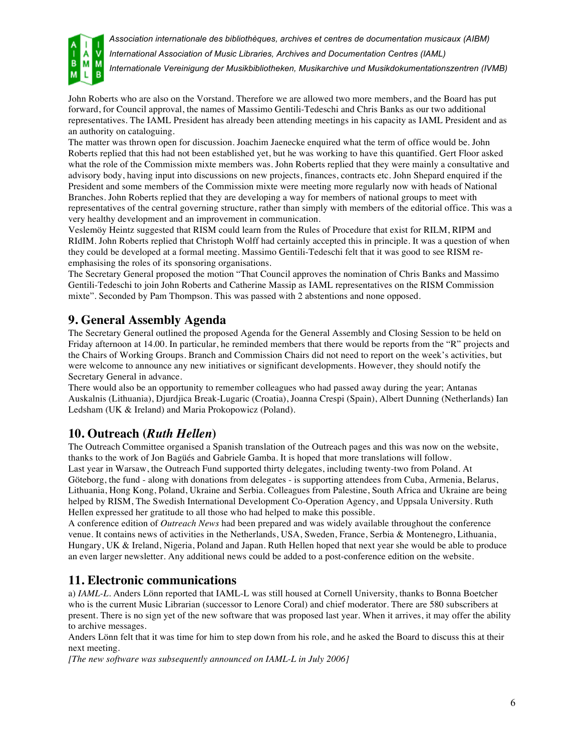

*International Association of Music Libraries, Archives and Documentation Centres (IAML)*

*Internationale Vereinigung der Musikbibliotheken, Musikarchive und Musikdokumentationszentren (IVMB)*

John Roberts who are also on the Vorstand. Therefore we are allowed two more members, and the Board has put forward, for Council approval, the names of Massimo Gentili-Tedeschi and Chris Banks as our two additional representatives. The IAML President has already been attending meetings in his capacity as IAML President and as an authority on cataloguing.

The matter was thrown open for discussion. Joachim Jaenecke enquired what the term of office would be. John Roberts replied that this had not been established yet, but he was working to have this quantified. Gert Floor asked what the role of the Commission mixte members was. John Roberts replied that they were mainly a consultative and advisory body, having input into discussions on new projects, finances, contracts etc. John Shepard enquired if the President and some members of the Commission mixte were meeting more regularly now with heads of National Branches. John Roberts replied that they are developing a way for members of national groups to meet with representatives of the central governing structure, rather than simply with members of the editorial office. This was a very healthy development and an improvement in communication.

Veslemöy Heintz suggested that RISM could learn from the Rules of Procedure that exist for RILM, RIPM and RIdIM. John Roberts replied that Christoph Wolff had certainly accepted this in principle. It was a question of when they could be developed at a formal meeting. Massimo Gentili-Tedeschi felt that it was good to see RISM reemphasising the roles of its sponsoring organisations.

The Secretary General proposed the motion "That Council approves the nomination of Chris Banks and Massimo Gentili-Tedeschi to join John Roberts and Catherine Massip as IAML representatives on the RISM Commission mixte". Seconded by Pam Thompson. This was passed with 2 abstentions and none opposed.

## **9. General Assembly Agenda**

The Secretary General outlined the proposed Agenda for the General Assembly and Closing Session to be held on Friday afternoon at 14.00. In particular, he reminded members that there would be reports from the "R" projects and the Chairs of Working Groups. Branch and Commission Chairs did not need to report on the week's activities, but were welcome to announce any new initiatives or significant developments. However, they should notify the Secretary General in advance.

There would also be an opportunity to remember colleagues who had passed away during the year; Antanas Auskalnis (Lithuania), Djurdjica Break-Lugaric (Croatia), Joanna Crespi (Spain), Albert Dunning (Netherlands) Ian Ledsham (UK & Ireland) and Maria Prokopowicz (Poland).

## **10. Outreach (***Ruth Hellen***)**

The Outreach Committee organised a Spanish translation of the Outreach pages and this was now on the website, thanks to the work of Jon Bagüés and Gabriele Gamba. It is hoped that more translations will follow. Last year in Warsaw, the Outreach Fund supported thirty delegates, including twenty-two from Poland. At Göteborg, the fund - along with donations from delegates - is supporting attendees from Cuba, Armenia, Belarus, Lithuania, Hong Kong, Poland, Ukraine and Serbia. Colleagues from Palestine, South Africa and Ukraine are being helped by RISM, The Swedish International Development Co-Operation Agency, and Uppsala University. Ruth Hellen expressed her gratitude to all those who had helped to make this possible.

A conference edition of *Outreach News* had been prepared and was widely available throughout the conference venue. It contains news of activities in the Netherlands, USA, Sweden, France, Serbia & Montenegro, Lithuania, Hungary, UK & Ireland, Nigeria, Poland and Japan. Ruth Hellen hoped that next year she would be able to produce an even larger newsletter. Any additional news could be added to a post-conference edition on the website.

### **11. Electronic communications**

a) *IAML-L*. Anders Lönn reported that IAML-L was still housed at Cornell University, thanks to Bonna Boetcher who is the current Music Librarian (successor to Lenore Coral) and chief moderator. There are 580 subscribers at present. There is no sign yet of the new software that was proposed last year. When it arrives, it may offer the ability to archive messages.

Anders Lönn felt that it was time for him to step down from his role, and he asked the Board to discuss this at their next meeting.

*[The new software was subsequently announced on IAML-L in July 2006]*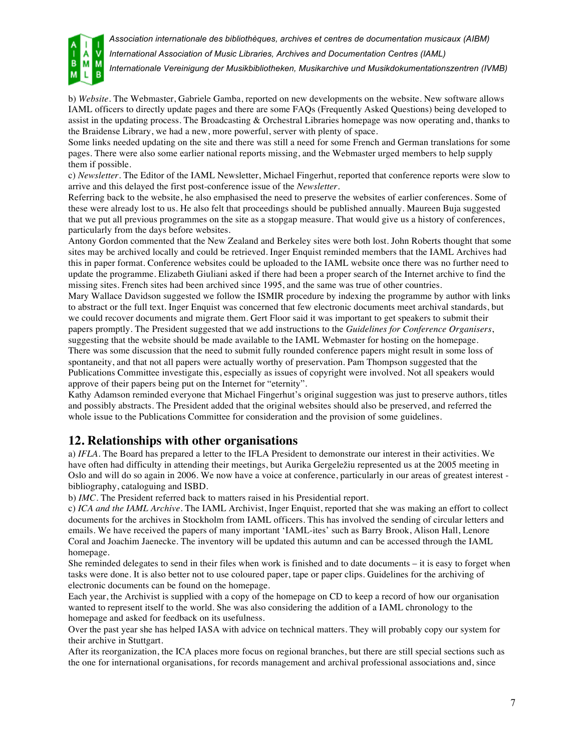

*International Association of Music Libraries, Archives and Documentation Centres (IAML)*

*Internationale Vereinigung der Musikbibliotheken, Musikarchive und Musikdokumentationszentren (IVMB)*

b) *Website*. The Webmaster, Gabriele Gamba, reported on new developments on the website. New software allows IAML officers to directly update pages and there are some FAQs (Frequently Asked Questions) being developed to assist in the updating process. The Broadcasting & Orchestral Libraries homepage was now operating and, thanks to the Braidense Library, we had a new, more powerful, server with plenty of space.

Some links needed updating on the site and there was still a need for some French and German translations for some pages. There were also some earlier national reports missing, and the Webmaster urged members to help supply them if possible.

c) *Newsletter*. The Editor of the IAML Newsletter, Michael Fingerhut, reported that conference reports were slow to arrive and this delayed the first post-conference issue of the *Newsletter*.

Referring back to the website, he also emphasised the need to preserve the websites of earlier conferences. Some of these were already lost to us. He also felt that proceedings should be published annually. Maureen Buja suggested that we put all previous programmes on the site as a stopgap measure. That would give us a history of conferences, particularly from the days before websites.

Antony Gordon commented that the New Zealand and Berkeley sites were both lost. John Roberts thought that some sites may be archived locally and could be retrieved. Inger Enquist reminded members that the IAML Archives had this in paper format. Conference websites could be uploaded to the IAML website once there was no further need to update the programme. Elizabeth Giuliani asked if there had been a proper search of the Internet archive to find the missing sites. French sites had been archived since 1995, and the same was true of other countries.

Mary Wallace Davidson suggested we follow the ISMIR procedure by indexing the programme by author with links to abstract or the full text. Inger Enquist was concerned that few electronic documents meet archival standards, but we could recover documents and migrate them. Gert Floor said it was important to get speakers to submit their papers promptly. The President suggested that we add instructions to the *Guidelines for Conference Organisers*, suggesting that the website should be made available to the IAML Webmaster for hosting on the homepage. There was some discussion that the need to submit fully rounded conference papers might result in some loss of spontaneity, and that not all papers were actually worthy of preservation. Pam Thompson suggested that the

Publications Committee investigate this, especially as issues of copyright were involved. Not all speakers would approve of their papers being put on the Internet for "eternity".

Kathy Adamson reminded everyone that Michael Fingerhut's original suggestion was just to preserve authors, titles and possibly abstracts. The President added that the original websites should also be preserved, and referred the whole issue to the Publications Committee for consideration and the provision of some guidelines.

#### **12. Relationships with other organisations**

a) *IFLA*. The Board has prepared a letter to the IFLA President to demonstrate our interest in their activities. We have often had difficulty in attending their meetings, but Aurika Gergeležiu represented us at the 2005 meeting in Oslo and will do so again in 2006. We now have a voice at conference, particularly in our areas of greatest interest bibliography, cataloguing and ISBD.

b) *IMC*. The President referred back to matters raised in his Presidential report.

c) *ICA and the IAML Archive*. The IAML Archivist, Inger Enquist, reported that she was making an effort to collect documents for the archives in Stockholm from IAML officers. This has involved the sending of circular letters and emails. We have received the papers of many important 'IAML-ites' such as Barry Brook, Alison Hall, Lenore Coral and Joachim Jaenecke. The inventory will be updated this autumn and can be accessed through the IAML homepage.

She reminded delegates to send in their files when work is finished and to date documents – it is easy to forget when tasks were done. It is also better not to use coloured paper, tape or paper clips. Guidelines for the archiving of electronic documents can be found on the homepage.

Each year, the Archivist is supplied with a copy of the homepage on CD to keep a record of how our organisation wanted to represent itself to the world. She was also considering the addition of a IAML chronology to the homepage and asked for feedback on its usefulness.

Over the past year she has helped IASA with advice on technical matters. They will probably copy our system for their archive in Stuttgart.

After its reorganization, the ICA places more focus on regional branches, but there are still special sections such as the one for international organisations, for records management and archival professional associations and, since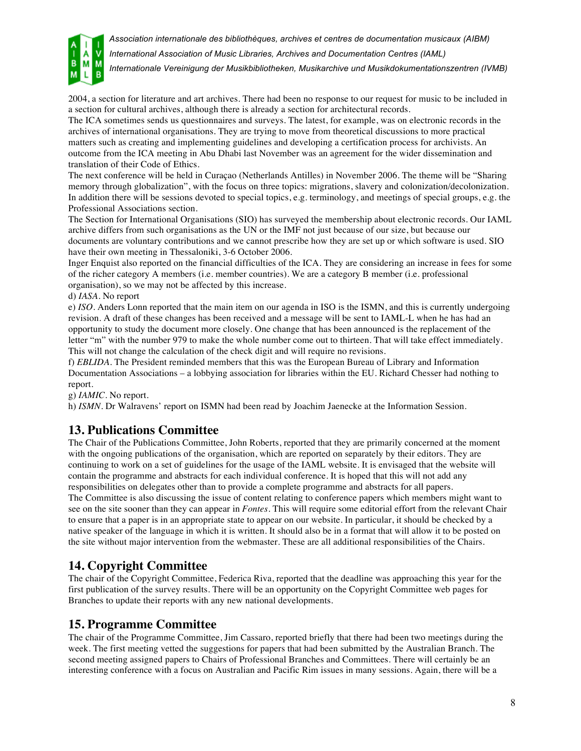



*International Association of Music Libraries, Archives and Documentation Centres (IAML)*

*Internationale Vereinigung der Musikbibliotheken, Musikarchive und Musikdokumentationszentren (IVMB)*

2004, a section for literature and art archives. There had been no response to our request for music to be included in a section for cultural archives, although there is already a section for architectural records.

The ICA sometimes sends us questionnaires and surveys. The latest, for example, was on electronic records in the archives of international organisations. They are trying to move from theoretical discussions to more practical matters such as creating and implementing guidelines and developing a certification process for archivists. An outcome from the ICA meeting in Abu Dhabi last November was an agreement for the wider dissemination and translation of their Code of Ethics.

The next conference will be held in Curaçao (Netherlands Antilles) in November 2006. The theme will be "Sharing memory through globalization", with the focus on three topics: migrations, slavery and colonization/decolonization. In addition there will be sessions devoted to special topics, e.g. terminology, and meetings of special groups, e.g. the Professional Associations section.

The Section for International Organisations (SIO) has surveyed the membership about electronic records. Our IAML archive differs from such organisations as the UN or the IMF not just because of our size, but because our documents are voluntary contributions and we cannot prescribe how they are set up or which software is used. SIO have their own meeting in Thessaloniki, 3-6 October 2006.

Inger Enquist also reported on the financial difficulties of the ICA. They are considering an increase in fees for some of the richer category A members (i.e. member countries). We are a category B member (i.e. professional organisation), so we may not be affected by this increase.

d) *IASA*. No report

e) *ISO*. Anders Lonn reported that the main item on our agenda in ISO is the ISMN, and this is currently undergoing revision. A draft of these changes has been received and a message will be sent to IAML-L when he has had an opportunity to study the document more closely. One change that has been announced is the replacement of the letter "m" with the number 979 to make the whole number come out to thirteen. That will take effect immediately. This will not change the calculation of the check digit and will require no revisions.

f) *EBLIDA*. The President reminded members that this was the European Bureau of Library and Information Documentation Associations – a lobbying association for libraries within the EU. Richard Chesser had nothing to report.

g) *IAMIC*. No report.

h) *ISMN*. Dr Walravens' report on ISMN had been read by Joachim Jaenecke at the Information Session.

### **13. Publications Committee**

The Chair of the Publications Committee, John Roberts, reported that they are primarily concerned at the moment with the ongoing publications of the organisation, which are reported on separately by their editors. They are continuing to work on a set of guidelines for the usage of the IAML website. It is envisaged that the website will contain the programme and abstracts for each individual conference. It is hoped that this will not add any responsibilities on delegates other than to provide a complete programme and abstracts for all papers. The Committee is also discussing the issue of content relating to conference papers which members might want to see on the site sooner than they can appear in *Fontes*. This will require some editorial effort from the relevant Chair to ensure that a paper is in an appropriate state to appear on our website. In particular, it should be checked by a native speaker of the language in which it is written. It should also be in a format that will allow it to be posted on the site without major intervention from the webmaster. These are all additional responsibilities of the Chairs.

### **14. Copyright Committee**

The chair of the Copyright Committee, Federica Riva, reported that the deadline was approaching this year for the first publication of the survey results. There will be an opportunity on the Copyright Committee web pages for Branches to update their reports with any new national developments.

### **15. Programme Committee**

The chair of the Programme Committee, Jim Cassaro, reported briefly that there had been two meetings during the week. The first meeting vetted the suggestions for papers that had been submitted by the Australian Branch. The second meeting assigned papers to Chairs of Professional Branches and Committees. There will certainly be an interesting conference with a focus on Australian and Pacific Rim issues in many sessions. Again, there will be a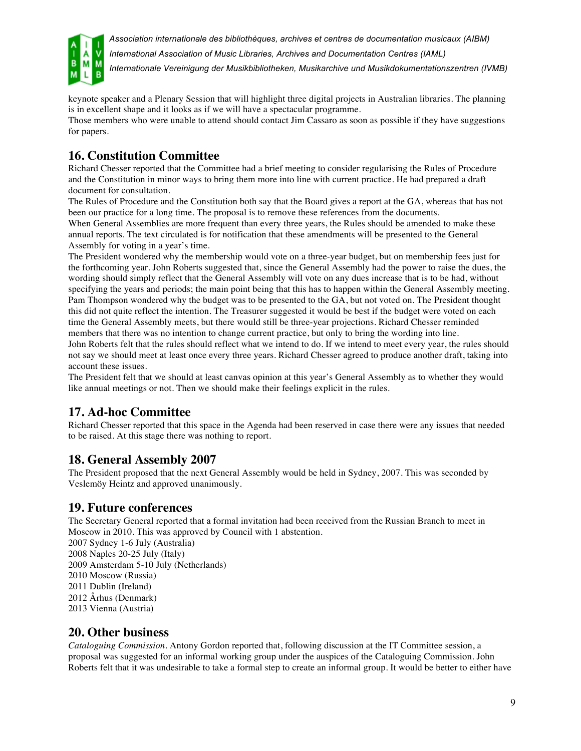

*International Association of Music Libraries, Archives and Documentation Centres (IAML)*

*Internationale Vereinigung der Musikbibliotheken, Musikarchive und Musikdokumentationszentren (IVMB)*

keynote speaker and a Plenary Session that will highlight three digital projects in Australian libraries. The planning is in excellent shape and it looks as if we will have a spectacular programme.

Those members who were unable to attend should contact Jim Cassaro as soon as possible if they have suggestions for papers.

## **16. Constitution Committee**

Richard Chesser reported that the Committee had a brief meeting to consider regularising the Rules of Procedure and the Constitution in minor ways to bring them more into line with current practice. He had prepared a draft document for consultation.

The Rules of Procedure and the Constitution both say that the Board gives a report at the GA, whereas that has not been our practice for a long time. The proposal is to remove these references from the documents.

When General Assemblies are more frequent than every three years, the Rules should be amended to make these annual reports. The text circulated is for notification that these amendments will be presented to the General Assembly for voting in a year's time.

The President wondered why the membership would vote on a three-year budget, but on membership fees just for the forthcoming year. John Roberts suggested that, since the General Assembly had the power to raise the dues, the wording should simply reflect that the General Assembly will vote on any dues increase that is to be had, without specifying the years and periods; the main point being that this has to happen within the General Assembly meeting. Pam Thompson wondered why the budget was to be presented to the GA, but not voted on. The President thought this did not quite reflect the intention. The Treasurer suggested it would be best if the budget were voted on each time the General Assembly meets, but there would still be three-year projections. Richard Chesser reminded members that there was no intention to change current practice, but only to bring the wording into line.

John Roberts felt that the rules should reflect what we intend to do. If we intend to meet every year, the rules should not say we should meet at least once every three years. Richard Chesser agreed to produce another draft, taking into account these issues.

The President felt that we should at least canvas opinion at this year's General Assembly as to whether they would like annual meetings or not. Then we should make their feelings explicit in the rules.

# **17. Ad-hoc Committee**

Richard Chesser reported that this space in the Agenda had been reserved in case there were any issues that needed to be raised. At this stage there was nothing to report.

## **18. General Assembly 2007**

The President proposed that the next General Assembly would be held in Sydney, 2007. This was seconded by Veslemöy Heintz and approved unanimously.

### **19. Future conferences**

The Secretary General reported that a formal invitation had been received from the Russian Branch to meet in Moscow in 2010. This was approved by Council with 1 abstention.

- 2007 Sydney 1-6 July (Australia)
- 2008 Naples 20-25 July (Italy)
- 2009 Amsterdam 5-10 July (Netherlands)

2010 Moscow (Russia)

2011 Dublin (Ireland)

2012 Århus (Denmark)

2013 Vienna (Austria)

## **20. Other business**

*Cataloguing Commission*. Antony Gordon reported that, following discussion at the IT Committee session, a proposal was suggested for an informal working group under the auspices of the Cataloguing Commission. John Roberts felt that it was undesirable to take a formal step to create an informal group. It would be better to either have